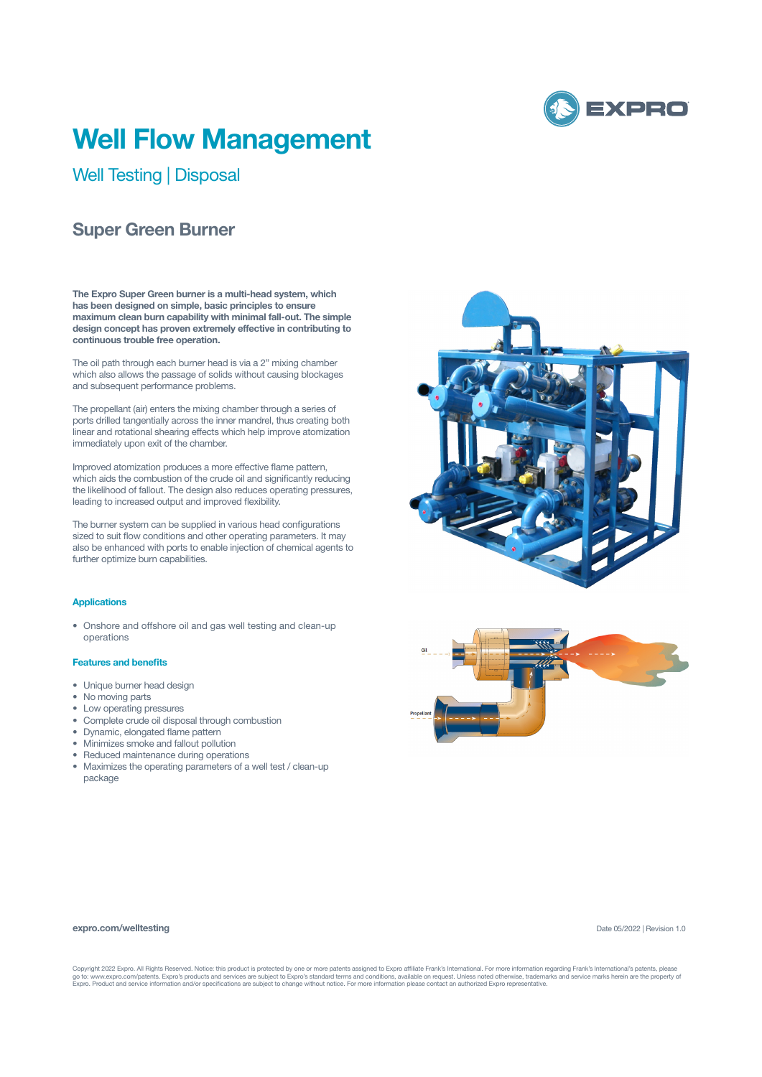

# **Well Flow Management**

Well Testing | Disposal

## **Super Green Burner**

**The Expro Super Green burner is a multi-head system, which has been designed on simple, basic principles to ensure maximum clean burn capability with minimal fall-out. The simple design concept has proven extremely effective in contributing to continuous trouble free operation.**

The oil path through each burner head is via a 2" mixing chamber which also allows the passage of solids without causing blockages and subsequent performance problems.

The propellant (air) enters the mixing chamber through a series of ports drilled tangentially across the inner mandrel, thus creating both linear and rotational shearing effects which help improve atomization immediately upon exit of the chamber.

Improved atomization produces a more effective flame pattern, which aids the combustion of the crude oil and significantly reducing the likelihood of fallout. The design also reduces operating pressures, leading to increased output and improved flexibility.

The burner system can be supplied in various head configurations sized to suit flow conditions and other operating parameters. It may also be enhanced with ports to enable injection of chemical agents to further optimize burn capabilities.

### **Applications**

• Onshore and offshore oil and gas well testing and clean-up operations

#### **Features and benefits**

- Unique burner head design
- No moving parts
- Low operating pressures
- Complete crude oil disposal through combustion
- Dynamic, elongated flame pattern
- Minimizes smoke and fallout pollution
- Reduced maintenance during operations
- Maximizes the operating parameters of a well test / clean-up package





#### **expro.com/welltesting**

Date 05/2022 | Revision 1.0

Copyright 2022 Expro. All Rights Reserved. Notice: this product is protected by one or more patents assigned to Expro affiliate Frank's International. For more information regarding Frank's International's patents, please<br>